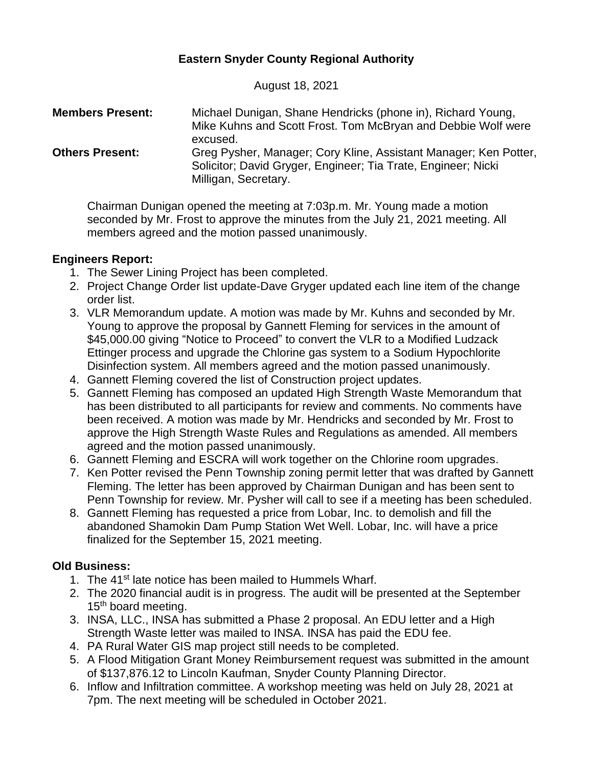# **Eastern Snyder County Regional Authority**

August 18, 2021

| <b>Members Present:</b> | Michael Dunigan, Shane Hendricks (phone in), Richard Young,<br>Mike Kuhns and Scott Frost. Tom McBryan and Debbie Wolf were<br>excused.                   |
|-------------------------|-----------------------------------------------------------------------------------------------------------------------------------------------------------|
| <b>Others Present:</b>  | Greg Pysher, Manager; Cory Kline, Assistant Manager; Ken Potter,<br>Solicitor; David Gryger, Engineer; Tia Trate, Engineer; Nicki<br>Milligan, Secretary. |

Chairman Dunigan opened the meeting at 7:03p.m. Mr. Young made a motion seconded by Mr. Frost to approve the minutes from the July 21, 2021 meeting. All members agreed and the motion passed unanimously.

## **Engineers Report:**

- 1. The Sewer Lining Project has been completed.
- 2. Project Change Order list update-Dave Gryger updated each line item of the change order list.
- 3. VLR Memorandum update. A motion was made by Mr. Kuhns and seconded by Mr. Young to approve the proposal by Gannett Fleming for services in the amount of \$45,000.00 giving "Notice to Proceed" to convert the VLR to a Modified Ludzack Ettinger process and upgrade the Chlorine gas system to a Sodium Hypochlorite Disinfection system. All members agreed and the motion passed unanimously.
- 4. Gannett Fleming covered the list of Construction project updates.
- 5. Gannett Fleming has composed an updated High Strength Waste Memorandum that has been distributed to all participants for review and comments. No comments have been received. A motion was made by Mr. Hendricks and seconded by Mr. Frost to approve the High Strength Waste Rules and Regulations as amended. All members agreed and the motion passed unanimously.
- 6. Gannett Fleming and ESCRA will work together on the Chlorine room upgrades.
- 7. Ken Potter revised the Penn Township zoning permit letter that was drafted by Gannett Fleming. The letter has been approved by Chairman Dunigan and has been sent to Penn Township for review. Mr. Pysher will call to see if a meeting has been scheduled.
- 8. Gannett Fleming has requested a price from Lobar, Inc. to demolish and fill the abandoned Shamokin Dam Pump Station Wet Well. Lobar, Inc. will have a price finalized for the September 15, 2021 meeting.

# **Old Business:**

- 1. The 41<sup>st</sup> late notice has been mailed to Hummels Wharf.
- 2. The 2020 financial audit is in progress. The audit will be presented at the September 15<sup>th</sup> board meeting.
- 3. INSA, LLC., INSA has submitted a Phase 2 proposal. An EDU letter and a High Strength Waste letter was mailed to INSA. INSA has paid the EDU fee.
- 4. PA Rural Water GIS map project still needs to be completed.
- 5. A Flood Mitigation Grant Money Reimbursement request was submitted in the amount of \$137,876.12 to Lincoln Kaufman, Snyder County Planning Director.
- 6. Inflow and Infiltration committee. A workshop meeting was held on July 28, 2021 at 7pm. The next meeting will be scheduled in October 2021.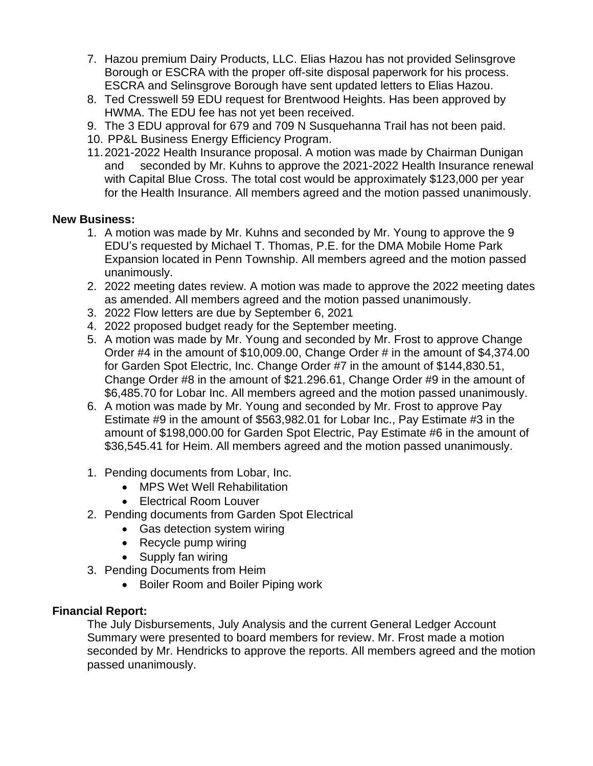- 7. Hazou premium Dairy Products, LLC. Elias Hazou has not provided Selinsgrove Borough or ESCRA with the proper off-site disposal paperwork for his process. ESCRA and Selinsgrove Borough have sent updated letters to Elias Hazou.
- 8. Ted Cresswell 59 EDU request for Brentwood Heights. Has been approved by HWMA. The EDU fee has not yet been received.
- 9. The 3 EDU approval for 679 and 709 N Susquehanna Trail has not been paid.
- 10. PP&L Business Energy Efficiency Program.
- 11.2021-2022 Health Insurance proposal. A motion was made by Chairman Dunigan and seconded by Mr. Kuhns to approve the 2021-2022 Health Insurance renewal with Capital Blue Cross. The total cost would be approximately \$123,000 per year for the Health Insurance. All members agreed and the motion passed unanimously.

## **New Business:**

- 1. A motion was made by Mr. Kuhns and seconded by Mr. Young to approve the 9 EDU's requested by Michael T. Thomas, P.E. for the DMA Mobile Home Park Expansion located in Penn Township. All members agreed and the motion passed unanimously.
- 2. 2022 meeting dates review. A motion was made to approve the 2022 meeting dates as amended. All members agreed and the motion passed unanimously.
- 3. 2022 Flow letters are due by September 6, 2021
- 4. 2022 proposed budget ready for the September meeting.
- 5. A motion was made by Mr. Young and seconded by Mr. Frost to approve Change Order #4 in the amount of \$10,009.00, Change Order # in the amount of \$4,374.00 for Garden Spot Electric, Inc. Change Order #7 in the amount of \$144,830.51, Change Order #8 in the amount of \$21.296.61, Change Order #9 in the amount of \$6,485.70 for Lobar Inc. All members agreed and the motion passed unanimously.
- 6. A motion was made by Mr. Young and seconded by Mr. Frost to approve Pay Estimate #9 in the amount of \$563,982.01 for Lobar Inc., Pay Estimate #3 in the amount of \$198,000.00 for Garden Spot Electric, Pay Estimate #6 in the amount of \$36,545.41 for Heim. All members agreed and the motion passed unanimously.
- 1. Pending documents from Lobar, Inc.
	- MPS Wet Well Rehabilitation
	- Electrical Room Louver
- 2. Pending documents from Garden Spot Electrical
	- Gas detection system wiring
	- Recycle pump wiring
	- Supply fan wiring
- 3. Pending Documents from Heim
	- Boiler Room and Boiler Piping work

## **Financial Report:**

The July Disbursements, July Analysis and the current General Ledger Account Summary were presented to board members for review. Mr. Frost made a motion seconded by Mr. Hendricks to approve the reports. All members agreed and the motion passed unanimously.